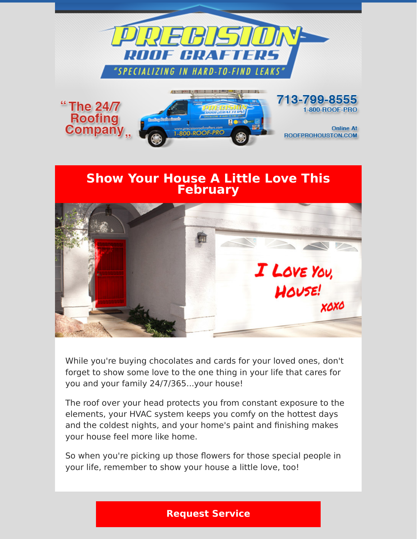



While you're buying chocolates and cards for your loved ones, don't forget to show some love to the one thing in your life that cares for you and your family 24/7/365...your house!

The roof over your head protects you from constant exposure to the elements, your HVAC system keeps you comfy on the hottest days and the coldest nights, and your home's paint and finishing makes your house feel more like home.

So when you're picking up those flowers for those special people in your life, remember to show your house a little love, too!

## **[Request Service](https://www.precisionroofcrafters.com/contact-us.php)**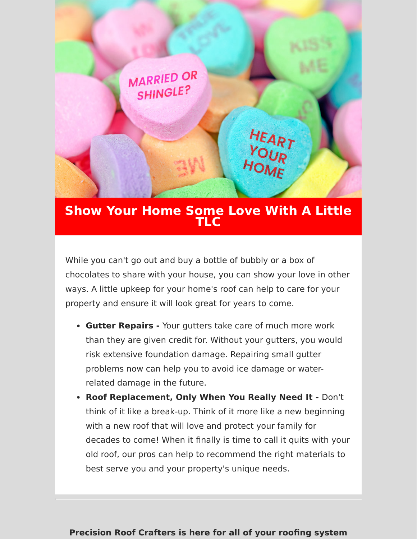

## **Show Your Home Some Love With A Little TLC**

While you can't go out and buy a bottle of bubbly or a box of chocolates to share with your house, you can show your love in other ways. A little upkeep for your home's roof can help to care for your property and ensure it will look great for years to come.

- **Gutter Repairs** Your gutters take care of much more work than they are given credit for. Without your gutters, you would risk extensive foundation damage. Repairing small gutter problems now can help you to avoid ice damage or waterrelated damage in the future.
- **Roof Replacement, Only When You Really Need It** Don't think of it like a break-up. Think of it more like a new beginning with a new roof that will love and protect your family for decades to come! When it finally is time to call it quits with your old roof, our pros can help to recommend the right materials to best serve you and your property's unique needs.

## **Precision Roof Crafters is here for all of your roofing system**